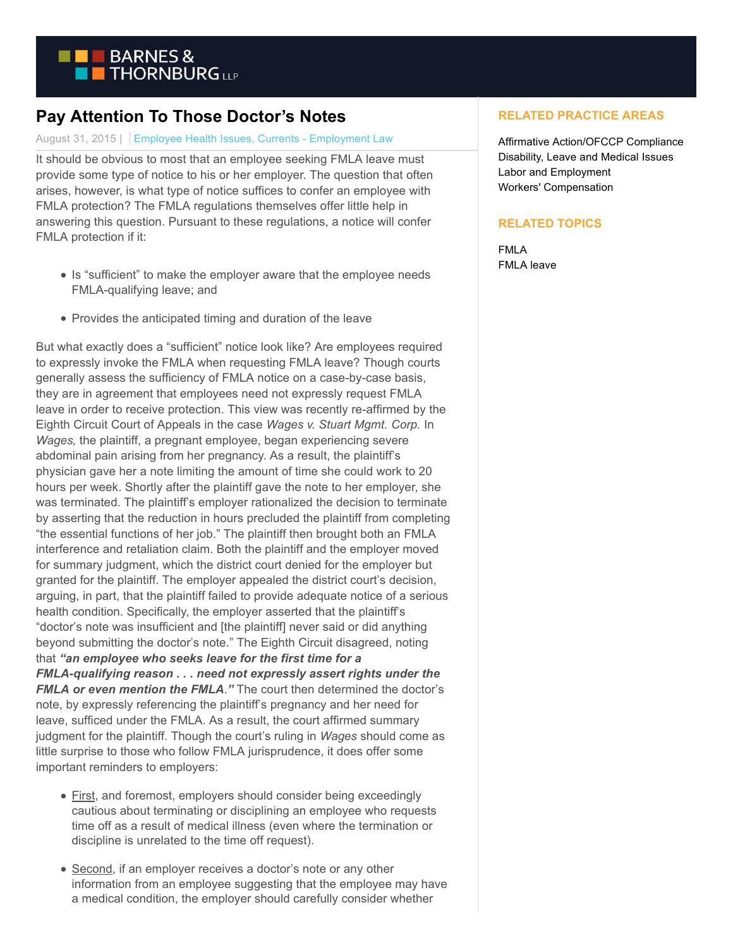

## **Pay Attention To Those Doctor's Notes**

## August 31, 2015 | Employee Health Issues, Currents - Employment Law

It should be obvious to most that an employee seeking FMLA leave must provide some type of notice to his or her employer. The question that often arises, however, is what type of notice suffices to confer an employee with FMLA protection? The FMLA regulations themselves offer little help in answering this question. Pursuant to these regulations, a notice will confer FMLA protection if it:

- Is "sufficient" to make the employer aware that the employee needs FMLA-qualifying leave; and
- Provides the anticipated timing and duration of the leave

But what exactly does a "sufficient" notice look like? Are employees required to expressly invoke the FMLA when requesting FMLA leave? Though courts generally assess the sufficiency of FMLA notice on a case-by-case basis, they are in agreement that employees need not expressly request FMLA leave in order to receive protection. This view was recently re-affirmed by the Eighth Circuit Court of Appeals in the case *Wages v. Stuart Mgmt. Corp.* In *Wages,* the plaintiff, a pregnant employee, began experiencing severe abdominal pain arising from her pregnancy. As a result, the plaintiff's physician gave her a note limiting the amount of time she could work to 20 hours per week. Shortly after the plaintiff gave the note to her employer, she was terminated. The plaintiff's employer rationalized the decision to terminate by asserting that the reduction in hours precluded the plaintiff from completing "the essential functions of her job." The plaintiff then brought both an FMLA interference and retaliation claim. Both the plaintiff and the employer moved for summary judgment, which the district court denied for the employer but granted for the plaintiff. The employer appealed the district court's decision, arguing, in part, that the plaintiff failed to provide adequate notice of a serious health condition. Specifically, the employer asserted that the plaintiff's "doctor's note was insufficient and [the plaintiff] never said or did anything beyond submitting the doctor's note." The Eighth Circuit disagreed, noting that *"an employee who seeks leave for the first time for a FMLA-qualifying reason . . . need not expressly assert rights under the FMLA or even mention the FMLA*.*"* The court then determined the doctor's note, by expressly referencing the plaintiff's pregnancy and her need for leave, sufficed under the FMLA. As a result, the court affirmed summary judgment for the plaintiff. Though the court's ruling in *Wages* should come as little surprise to those who follow FMLA jurisprudence, it does offer some important reminders to employers:

- First, and foremost, employers should consider being exceedingly cautious about terminating or disciplining an employee who requests time off as a result of medical illness (even where the termination or discipline is unrelated to the time off request).
- Second, if an employer receives a doctor's note or any other information from an employee suggesting that the employee may have a medical condition, the employer should carefully consider whether

## **RELATED PRACTICE AREAS**

Affirmative Action/OFCCP Compliance Disability, Leave and Medical Issues Labor and Employment Workers' Compensation

## **RELATED TOPICS**

FMLA FMLA leave